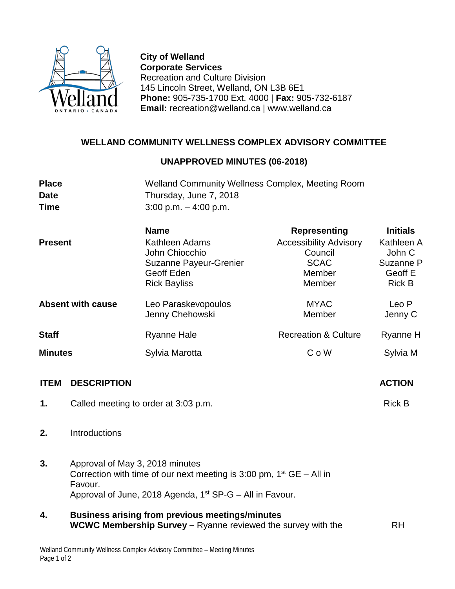

**City of Welland Corporate Services** Recreation and Culture Division 145 Lincoln Street, Welland, ON L3B 6E1 **Phone:** 905-735-1700 Ext. 4000 | **Fax:** 905-732-6187 **Email:** recreation@welland.ca | www.welland.ca

## **WELLAND COMMUNITY WELLNESS COMPLEX ADVISORY COMMITTEE**

## **UNAPPROVED MINUTES (06-2018)**

| <b>Place</b>   |                                                                                                                                                                                              | <b>Welland Community Wellness Complex, Meeting Room</b>                                                                       |                                                                             |                                                               |  |
|----------------|----------------------------------------------------------------------------------------------------------------------------------------------------------------------------------------------|-------------------------------------------------------------------------------------------------------------------------------|-----------------------------------------------------------------------------|---------------------------------------------------------------|--|
| <b>Date</b>    |                                                                                                                                                                                              | Thursday, June 7, 2018                                                                                                        |                                                                             |                                                               |  |
| <b>Time</b>    |                                                                                                                                                                                              | $3:00$ p.m. $-4:00$ p.m.                                                                                                      |                                                                             |                                                               |  |
|                |                                                                                                                                                                                              | <b>Name</b>                                                                                                                   | <b>Representing</b>                                                         | <b>Initials</b>                                               |  |
| <b>Present</b> |                                                                                                                                                                                              | Kathleen Adams<br>John Chiocchio<br>Suzanne Payeur-Grenier<br>Geoff Eden<br><b>Rick Bayliss</b>                               | <b>Accessibility Advisory</b><br>Council<br><b>SCAC</b><br>Member<br>Member | Kathleen A<br>John C<br>Suzanne P<br>Geoff E<br><b>Rick B</b> |  |
|                | <b>Absent with cause</b>                                                                                                                                                                     | Leo Paraskevopoulos<br>Jenny Chehowski                                                                                        | <b>MYAC</b><br>Member                                                       | Leo P<br>Jenny C                                              |  |
| <b>Staff</b>   |                                                                                                                                                                                              | <b>Ryanne Hale</b>                                                                                                            | <b>Recreation &amp; Culture</b>                                             | Ryanne H                                                      |  |
| <b>Minutes</b> |                                                                                                                                                                                              | Sylvia Marotta                                                                                                                | C o W                                                                       | Sylvia M                                                      |  |
| <b>ITEM</b>    | <b>DESCRIPTION</b>                                                                                                                                                                           |                                                                                                                               |                                                                             | <b>ACTION</b>                                                 |  |
| 1.             |                                                                                                                                                                                              | Called meeting to order at 3:03 p.m.                                                                                          |                                                                             | <b>Rick B</b>                                                 |  |
| 2.             | Introductions                                                                                                                                                                                |                                                                                                                               |                                                                             |                                                               |  |
| 3.             | Approval of May 3, 2018 minutes<br>Correction with time of our next meeting is 3:00 pm, $1st GE – All in$<br>Favour.<br>Approval of June, 2018 Agenda, 1 <sup>st</sup> SP-G – All in Favour. |                                                                                                                               |                                                                             |                                                               |  |
| 4.             |                                                                                                                                                                                              | <b>Business arising from previous meetings/minutes</b><br><b>WCWC Membership Survey - Ryanne reviewed the survey with the</b> |                                                                             | <b>RH</b>                                                     |  |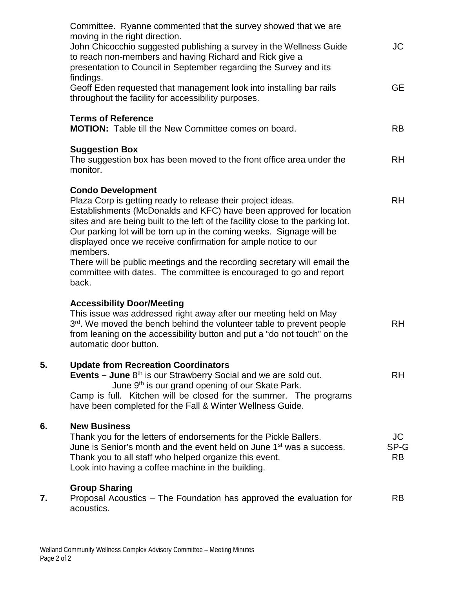|    | Committee. Ryanne commented that the survey showed that we are<br>moving in the right direction.                                                                                                                                                                                                                                                                                                                                                                                                                                                                  |                         |
|----|-------------------------------------------------------------------------------------------------------------------------------------------------------------------------------------------------------------------------------------------------------------------------------------------------------------------------------------------------------------------------------------------------------------------------------------------------------------------------------------------------------------------------------------------------------------------|-------------------------|
|    | John Chicocchio suggested publishing a survey in the Wellness Guide<br>to reach non-members and having Richard and Rick give a<br>presentation to Council in September regarding the Survey and its<br>findings.                                                                                                                                                                                                                                                                                                                                                  | JC                      |
|    | Geoff Eden requested that management look into installing bar rails<br>throughout the facility for accessibility purposes.                                                                                                                                                                                                                                                                                                                                                                                                                                        | <b>GE</b>               |
|    | <b>Terms of Reference</b><br><b>MOTION:</b> Table till the New Committee comes on board.                                                                                                                                                                                                                                                                                                                                                                                                                                                                          | <b>RB</b>               |
|    | <b>Suggestion Box</b><br>The suggestion box has been moved to the front office area under the<br>monitor.                                                                                                                                                                                                                                                                                                                                                                                                                                                         | <b>RH</b>               |
|    | <b>Condo Development</b><br>Plaza Corp is getting ready to release their project ideas.<br>Establishments (McDonalds and KFC) have been approved for location<br>sites and are being built to the left of the facility close to the parking lot.<br>Our parking lot will be torn up in the coming weeks. Signage will be<br>displayed once we receive confirmation for ample notice to our<br>members.<br>There will be public meetings and the recording secretary will email the<br>committee with dates. The committee is encouraged to go and report<br>back. | <b>RH</b>               |
|    | <b>Accessibility Door/Meeting</b><br>This issue was addressed right away after our meeting held on May<br>3rd. We moved the bench behind the volunteer table to prevent people<br>from leaning on the accessibility button and put a "do not touch" on the<br>automatic door button.                                                                                                                                                                                                                                                                              | <b>RH</b>               |
| 5. | <b>Update from Recreation Coordinators</b><br><b>Events – June</b> $8th$ is our Strawberry Social and we are sold out.<br>June 9 <sup>th</sup> is our grand opening of our Skate Park.<br>Camp is full. Kitchen will be closed for the summer. The programs<br>have been completed for the Fall & Winter Wellness Guide.                                                                                                                                                                                                                                          | RH.                     |
| 6. | <b>New Business</b><br>Thank you for the letters of endorsements for the Pickle Ballers.<br>June is Senior's month and the event held on June 1 <sup>st</sup> was a success.<br>Thank you to all staff who helped organize this event.<br>Look into having a coffee machine in the building.                                                                                                                                                                                                                                                                      | JC<br>SP-G<br><b>RB</b> |
| 7. | <b>Group Sharing</b><br>Proposal Acoustics – The Foundation has approved the evaluation for<br>acoustics.                                                                                                                                                                                                                                                                                                                                                                                                                                                         | <b>RB</b>               |

**7.**